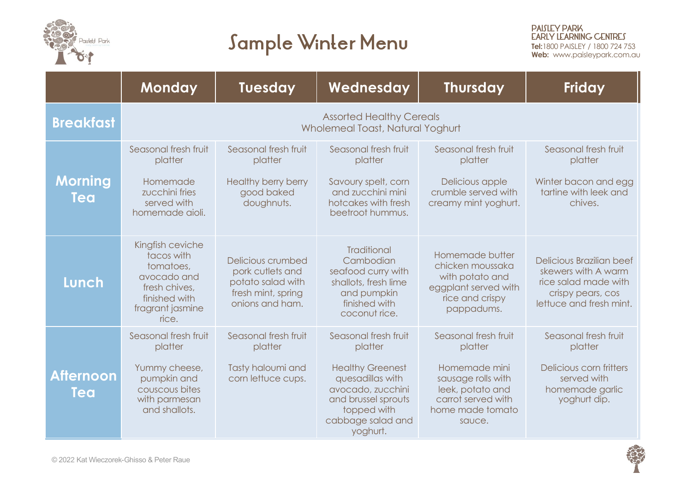

## **Sample Winter Menu**

|                                | <b>Monday</b>                                                                                                             | <b>Tuesday</b>                                                                                      | Wednesday                                                                                                                                                                  | <b>Thursday</b>                                                                                                                                | <b>Friday</b>                                                                                                           |  |
|--------------------------------|---------------------------------------------------------------------------------------------------------------------------|-----------------------------------------------------------------------------------------------------|----------------------------------------------------------------------------------------------------------------------------------------------------------------------------|------------------------------------------------------------------------------------------------------------------------------------------------|-------------------------------------------------------------------------------------------------------------------------|--|
| <b>Breakfast</b>               | <b>Assorted Healthy Cereals</b><br>Wholemeal Toast, Natural Yoghurt                                                       |                                                                                                     |                                                                                                                                                                            |                                                                                                                                                |                                                                                                                         |  |
| <b>Morning</b><br><b>Tea</b>   | Seasonal fresh fruit<br>platter<br>Homemade<br>zucchini fries<br>served with<br>homemade aioli.                           | Seasonal fresh fruit<br>platter<br><b>Healthy berry berry</b><br>good baked<br>doughnuts.           | Seasonal fresh fruit<br>platter<br>Savoury spelt, corn<br>and zucchini mini<br>hotcakes with fresh<br>beetroot hummus.                                                     | Seasonal fresh fruit<br>platter<br>Delicious apple<br>crumble served with<br>creamy mint yoghurt.                                              | Seasonal fresh fruit<br>platter<br>Winter bacon and egg<br>tartine with leek and<br>chives.                             |  |
| Lunch                          | Kingfish ceviche<br>tacos with<br>tomatoes,<br>avocado and<br>fresh chives,<br>finished with<br>fragrant jasmine<br>rice. | Delicious crumbed<br>pork cutlets and<br>potato salad with<br>fresh mint, spring<br>onions and ham. | <b>Traditional</b><br>Cambodian<br>seafood curry with<br>shallots, fresh lime<br>and pumpkin<br>finished with<br>coconut rice.                                             | Homemade butter<br>chicken moussaka<br>with potato and<br>eggplant served with<br>rice and crispy<br>pappadums.                                | Delicious Brazilian beef<br>skewers with A warm<br>rice salad made with<br>crispy pears, cos<br>lettuce and fresh mint. |  |
| <b>Affernoon</b><br><b>Tea</b> | Seasonal fresh fruit<br>platter<br>Yummy cheese,<br>pumpkin and<br>couscous bites<br>with parmesan<br>and shallots.       | Seasonal fresh fruit<br>platter<br>Tasty haloumi and<br>corn lettuce cups.                          | Seasonal fresh fruit<br>platter<br><b>Healthy Greenest</b><br>quesadillas with<br>avocado, zucchini<br>and brussel sprouts<br>topped with<br>cabbage salad and<br>yoghurt. | Seasonal fresh fruit<br>platter<br>Homemade mini<br>sausage rolls with<br>leek, potato and<br>carrot served with<br>home made tomato<br>sauce. | Seasonal fresh fruit<br>platter<br>Delicious corn fritters<br>served with<br>homemade garlic<br>yoghurt dip.            |  |

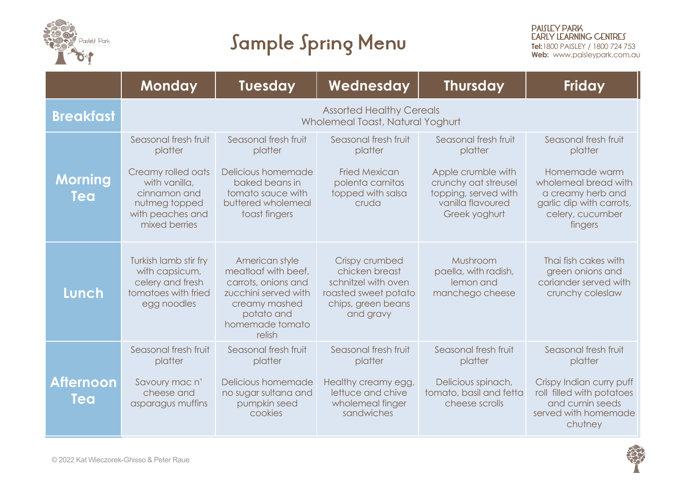

## **Sample Spring Menu**

|                                | <b>Monday</b>                                                                                                                                | <b>Tuesday</b>                                                                                                                                   | Wednesday                                                                                                          | <b>Thursday</b>                                                                                                                             | <b>Friday</b>                                                                                                                                            |  |
|--------------------------------|----------------------------------------------------------------------------------------------------------------------------------------------|--------------------------------------------------------------------------------------------------------------------------------------------------|--------------------------------------------------------------------------------------------------------------------|---------------------------------------------------------------------------------------------------------------------------------------------|----------------------------------------------------------------------------------------------------------------------------------------------------------|--|
| <b>Breakfast</b>               | <b>Assorted Healthy Cereals</b><br>Wholemeal Toast, Natural Yoghurt                                                                          |                                                                                                                                                  |                                                                                                                    |                                                                                                                                             |                                                                                                                                                          |  |
| <b>Morning</b><br><b>Tea</b>   | Seasonal fresh fruit<br>platter<br>Creamy rolled oats<br>with vanilla,<br>cinnamon and<br>nutmeg topped<br>with peaches and<br>mixed berries | Seasonal fresh fruit<br>platter<br>Delicious homemade<br>baked beans in<br>tomato sauce with<br>buttered wholemeal<br>toast fingers              | Seasonal fresh fruit<br>platter<br><b>Fried Mexican</b><br>polenta carnitas<br>topped with salsa<br>cruda          | Seasonal fresh fruit<br>platter<br>Apple crumble with<br>crunchy oat streusel<br>topping, served with<br>vanilla flavoured<br>Greek yoghurt | Seasonal fresh fruit<br>platter<br>Homemade warm<br>wholemeal bread with<br>a creamy herb and<br>garlic dip with carrots,<br>celery, cucumber<br>fingers |  |
| Lunch                          | Turkish lamb stir fry<br>with capsicum,<br>celery and fresh<br>tomatoes with fried<br>egg noodles                                            | American style<br>meatloaf with beef,<br>carrots, onions and<br>zucchini served with<br>creamy mashed<br>potato and<br>homemade tomato<br>relish | Crispy crumbed<br>chicken breast<br>schnitzel with oven<br>roasted sweet potato<br>chips, green beans<br>and gravy | Mushroom<br>paella, with radish,<br>lemon and<br>manchego cheese                                                                            | Thai fish cakes with<br>green onions and<br>coriander served with<br>crunchy coleslaw                                                                    |  |
| <b>Afternoon</b><br><b>Tea</b> | Seasonal fresh fruit<br>platter<br>Savoury mac n'<br>cheese and<br>asparagus muffins                                                         | Seasonal fresh fruit<br>platter<br>Delicious homemade<br>no sugar sultana and<br>pumpkin seed<br>cookies                                         | Seasonal fresh fruit<br>platter<br>Healthy creamy egg,<br>lettuce and chive<br>wholemeal finger<br>sandwiches      | Seasonal fresh fruit<br>platter<br>Delicious spinach,<br>tomato, basil and fetta<br>cheese scrolls                                          | Seasonal fresh fruit<br>platter<br>Crispy Indian curry puff<br>roll filled with potatoes<br>and cumin seeds<br>served with homemade<br>chutney           |  |

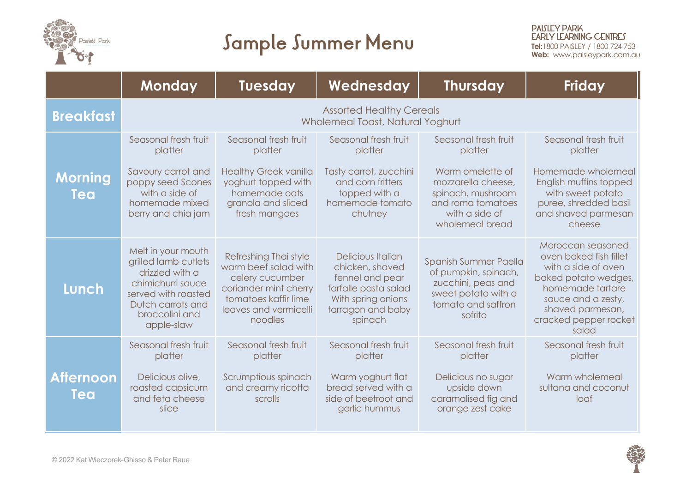

## **Sample Summer Menu**

|                                | <b>Monday</b>                                                                                                                                                  | <b>Tuesday</b>                                                                                                                                        | Wednesday                                                                                                                             | Thursday                                                                                                                                                 | <b>Friday</b>                                                                                                                                                                              |  |
|--------------------------------|----------------------------------------------------------------------------------------------------------------------------------------------------------------|-------------------------------------------------------------------------------------------------------------------------------------------------------|---------------------------------------------------------------------------------------------------------------------------------------|----------------------------------------------------------------------------------------------------------------------------------------------------------|--------------------------------------------------------------------------------------------------------------------------------------------------------------------------------------------|--|
| <b>Breakfast</b>               | <b>Assorted Healthy Cereals</b><br>Wholemeal Toast, Natural Yoghurt                                                                                            |                                                                                                                                                       |                                                                                                                                       |                                                                                                                                                          |                                                                                                                                                                                            |  |
| <b>Morning</b><br><b>Teg</b>   | Seasonal fresh fruit<br>platter<br>Savoury carrot and<br>poppy seed Scones<br>with a side of<br>homemade mixed<br>berry and chia jam                           | Seasonal fresh fruit<br>platter<br><b>Healthy Greek vanilla</b><br>yoghurt topped with<br>homemade oats<br>granola and sliced<br>fresh mangoes        | Seasonal fresh fruit<br>platter<br>Tasty carrot, zucchini<br>and corn fritters<br>topped with a<br>homemade tomato<br>chutney         | Seasonal fresh fruit<br>platter<br>Warm omelette of<br>mozzarella cheese,<br>spinach, mushroom<br>and roma tomatoes<br>with a side of<br>wholemeal bread | Seasonal fresh fruit<br>platter<br>Homemade wholemeal<br>English muffins topped<br>with sweet potato<br>puree, shredded basil<br>and shaved parmesan<br>cheese                             |  |
| Lunch                          | Melt in your mouth<br>grilled lamb cutlets<br>drizzled with a<br>chimichurri squce<br>served with roasted<br>Dutch carrots and<br>broccolini and<br>apple-slaw | Refreshing Thai style<br>warm beef salad with<br>celery cucumber<br>coriander mint cherry<br>tomatoes kaffir lime<br>leaves and vermicelli<br>noodles | Delicious Italian<br>chicken, shaved<br>fennel and pear<br>farfalle pasta salad<br>With spring onions<br>tarragon and baby<br>spinach | Spanish Summer Paella<br>of pumpkin, spinach,<br>zucchini, peas and<br>sweet potato with a<br>tomato and saffron<br>sofrito                              | Moroccan seasoned<br>oven baked fish fillet<br>with a side of oven<br>baked potato wedges,<br>homemade tartare<br>sauce and a zesty,<br>shaved parmesan,<br>cracked pepper rocket<br>salad |  |
| <b>Afternoon</b><br><b>Tea</b> | Seasonal fresh fruit<br>platter<br>Delicious olive,<br>roasted capsicum<br>and feta cheese<br>slice                                                            | Seasonal fresh fruit<br>platter<br>Scrumptious spinach<br>and creamy ricotta<br>scrolls                                                               | Seasonal fresh fruit<br>platter<br>Warm yoghurt flat<br>bread served with a<br>side of beetroot and<br>garlic hummus                  | Seasonal fresh fruit<br>platter<br>Delicious no sugar<br>upside down<br>caramalised fig and<br>orange zest cake                                          | Seasonal fresh fruit<br>platter<br>Warm wholemeal<br>sultana and coconut<br>loaf                                                                                                           |  |